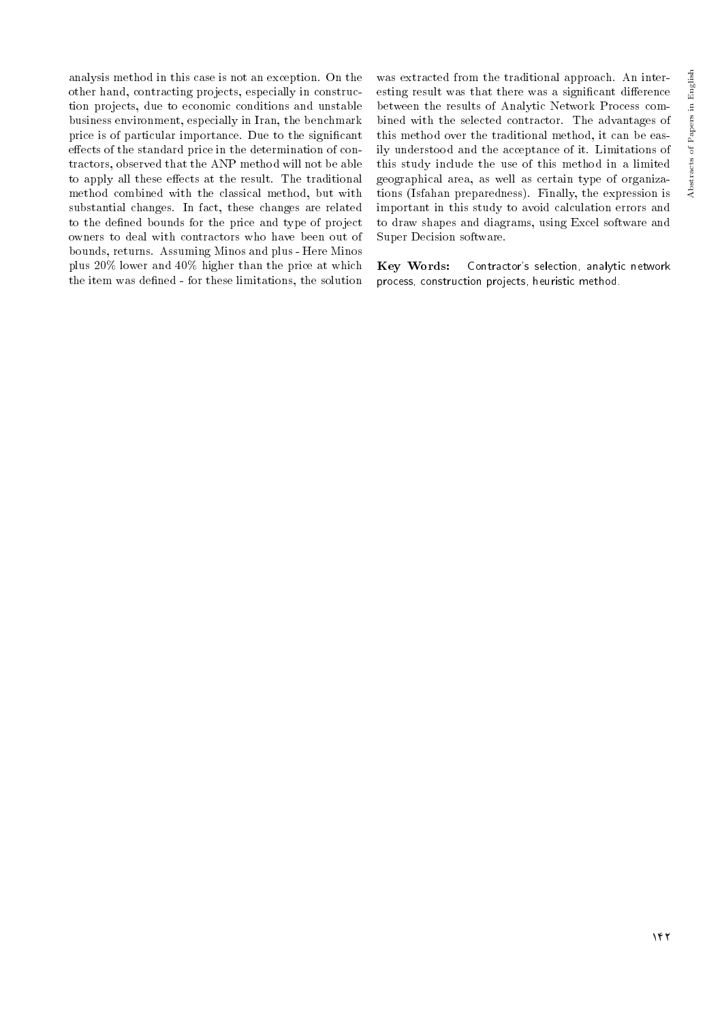Abstracts of Papers in English

Abstracts of Papers in English

analysis method in this case is not an exception. On the other hand, contracting projects, especially in construction projects, due to economic conditions and unstable business environment, especially in Iran, the benchmark price is of particular importance. Due to the signicant effects of the standard price in the determination of contractors, observed that the ANP method will not be able to apply all these effects at the result. The traditional method combined with the classical method, but with substantial changes. In fact, these changes are related to the defined bounds for the price and type of project owners to deal with contractors who have been out of bounds, returns. Assuming Minos and plus - Here Minos plus 20% lower and 40% higher than the price at which the item was defined - for these limitations, the solution

was extracted from the traditional approach. An interesting result was that there was a significant difference between the results of Analytic Network Process combined with the selected contractor. The advantages of this method over the traditional method, it can be easily understood and the acceptance of it. Limitations of this study include the use of this method in a limited geographical area, as well as certain type of organizations (Isfahan preparedness). Finally, the expression is important in this study to avoid calculation errors and to draw shapes and diagrams, using Excel software and Super Decision software.

Key Words: Contractor's selection, analytic network process, construction projects, heuristic method.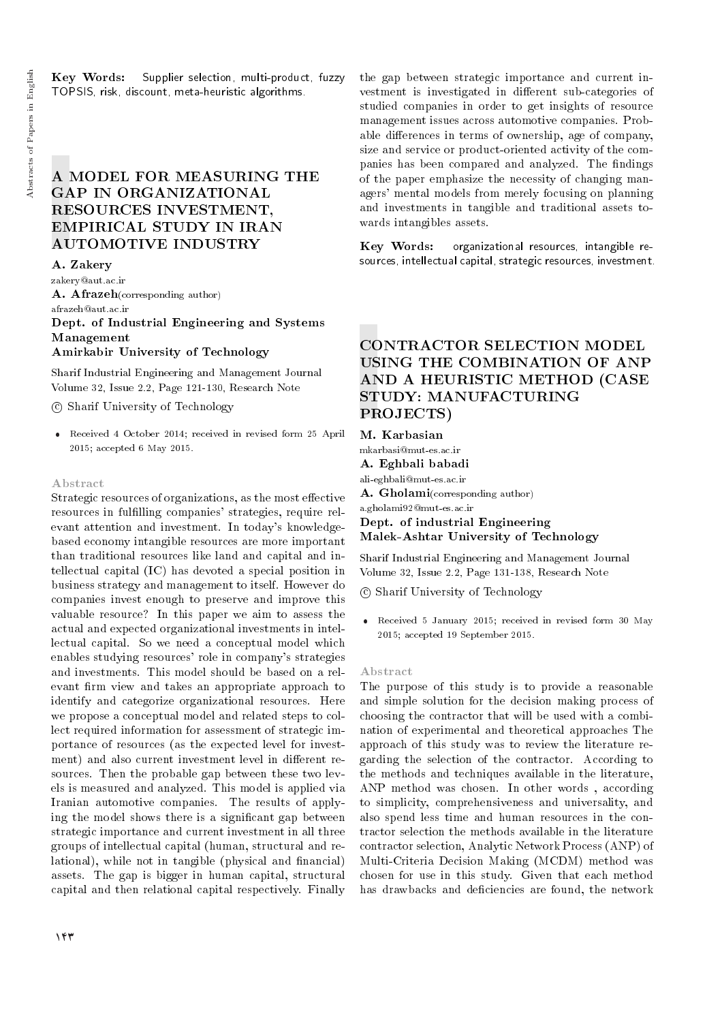Key Words: Supplier selection, multi-product, fuzzy TOPSIS, risk, discount, meta-heuristic algorithms.

# A MODEL FOR MEASURING THE GAP IN ORGANIZATIONAL RESOURCES INVESTMENT, EMPIRICAL STUDY IN IRAN AUTOMOTIVE INDUSTRY

A. Zakery zakery@aut.ac.ir A. Afrazeh(corresponding author) afrazeh@aut.ac.ir Dept. of Industrial Engineering and Systems Management Amirkabir University of Technology

Sharif Industrial Engineering and Management Journal Volume 32, Issue 2.2, Page 121-130, Research Note

c Sharif University of Technology

 Received 4 October 2014; received in revised form 25 April 2015; accepted 6 May 2015.

#### Abstract

Strategic resources of organizations, as the most effective resources in fulfilling companies' strategies, require relevant attention and investment. In today's knowledgebased economy intangible resources are more important than traditional resources like land and capital and intellectual capital (IC) has devoted a special position in business strategy and management to itself. However do companies invest enough to preserve and improve this valuable resource? In this paper we aim to assess the actual and expected organizational investments in intellectual capital. So we need a conceptual model which enables studying resources' role in company's strategies and investments. This model should be based on a relevant firm view and takes an appropriate approach to identify and categorize organizational resources. Here we propose a conceptual model and related steps to collect required information for assessment of strategic importance of resources (as the expected level for investment) and also current investment level in different resources. Then the probable gap between these two levels is measured and analyzed. This model is applied via Iranian automotive companies. The results of applying the model shows there is a signicant gap between strategic importance and current investment in all three groups of intellectual capital (human, structural and relational), while not in tangible (physical and financial) assets. The gap is bigger in human capital, structural capital and then relational capital respectively. Finally the gap between strategic importance and current investment is investigated in different sub-categories of studied companies in order to get insights of resource management issues across automotive companies. Probable differences in terms of ownership, age of company, size and service or product-oriented activity of the companies has been compared and analyzed. The findings of the paper emphasize the necessity of changing managers' mental models from merely focusing on planning and investments in tangible and traditional assets towards intangibles assets.

Key Words: organizational resources, intangible resources, intellectual capital, strategic resources, investment.

# CONTRACTOR SELECTION MODEL USING THE COMBINATION OF ANP AND A HEURISTIC METHOD (CASE STUDY: MANUFACTURING PROJECTS)

M. Karbasian mkarbasi@mut-es.ac.ir A. Eghbali babadi ali-eghbali@mut-es.ac.ir A. Gholami(corresponding author) a.gholami92@mut-es.ac.ir

Dept. of industrial Engineering Malek-Ashtar University of Technology

Sharif Industrial Engineering and Management Journal Volume 32, Issue 2.2, Page 131-138, Research Note

c Sharif University of Technology

 Received 5 January 2015; received in revised form 30 May 2015; accepted 19 September 2015.

## Abstract

The purpose of this study is to provide a reasonable and simple solution for the decision making process of choosing the contractor that will be used with a combination of experimental and theoretical approaches The approach of this study was to review the literature regarding the selection of the contractor. According to the methods and techniques available in the literature, ANP method was chosen. In other words , according to simplicity, comprehensiveness and universality, and also spend less time and human resources in the contractor selection the methods available in the literature contractor selection, Analytic Network Process (ANP) of Multi-Criteria Decision Making (MCDM) method was chosen for use in this study. Given that each method has drawbacks and deficiencies are found, the network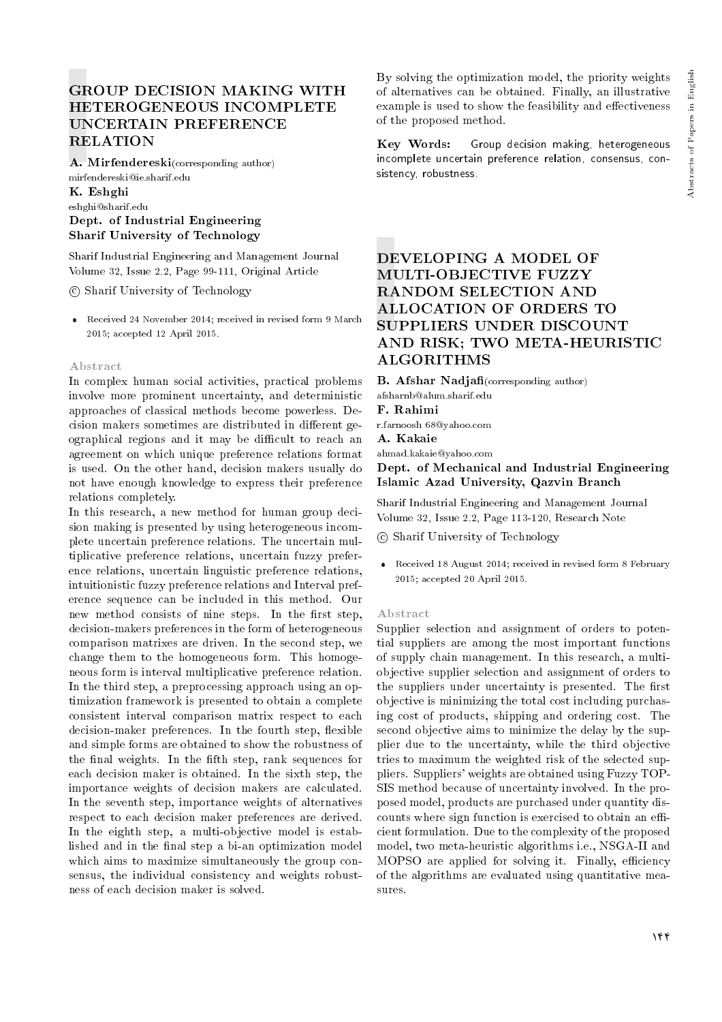# GROUP DECISION MAKING WITH HETEROGENEOUS INCOMPLETE UNCERTAIN PREFERENCE RELATION

A. Mirfendereski(corresponding author) mirfendereski@ie.sharif.edu

## K. Eshghi eshghi@sharif.edu Dept. of Industrial Engineering Sharif University of Technology

Sharif Industrial Engineering and Management Journal Volume 32, Issue 2.2, Page 99-111, Original Article

c Sharif University of Technology

 Received 24 November 2014; received in revised form 9 March 2015; accepted 12 April 2015.

## Abstract

In complex human social activities, practical problems involve more prominent uncertainty, and deterministic approaches of classical methods become powerless. Decision makers sometimes are distributed in different geographical regions and it may be difficult to reach an agreement on which unique preference relations format is used. On the other hand, decision makers usually do not have enough knowledge to express their preference relations completely.

In this research, a new method for human group decision making is presented by using heterogeneous incomplete uncertain preference relations. The uncertain multiplicative preference relations, uncertain fuzzy preference relations, uncertain linguistic preference relations, intuitionistic fuzzy preference relations and Interval preference sequence can be included in this method. Our new method consists of nine steps. In the first step, decision-makers preferences in the form of heterogeneous comparison matrixes are driven. In the second step, we change them to the homogeneous form. This homogeneous form is interval multiplicative preference relation. In the third step, a preprocessing approach using an optimization framework is presented to obtain a complete consistent interval comparison matrix respect to each decision-maker preferences. In the fourth step, flexible and simple forms are obtained to show the robustness of the final weights. In the fifth step, rank sequences for each decision maker is obtained. In the sixth step, the importance weights of decision makers are calculated. In the seventh step, importance weights of alternatives respect to each decision maker preferences are derived. In the eighth step, a multi-objective model is established and in the final step a bi-an optimization model which aims to maximize simultaneously the group consensus, the individual consistency and weights robustness of each decision maker is solved.

By solving the optimization model, the priority weights of alternatives can be obtained. Finally, an illustrative example is used to show the feasibility and effectiveness of the proposed method.

Key Words: Group decision making, heterogeneous incomplete uncertain preference relation, consensus, consistency, robustness.

# DEVELOPING A MODEL OF MULTI-OBJECTIVE FUZZY RANDOM SELECTION AND ALLOCATION OF ORDERS TO SUPPLIERS UNDER DISCOUNT AND RISK; TWO META-HEURISTIC ALGORITHMS

**B.** Afshar Nadjafi(corresponding author)

afsharnb@alum.sharif.edu

F. Rahimi

r.farnoosh 68@yahoo.com

A. Kakaie ahmad.kakaie@yahoo.com

Dept. of Mechanical and Industrial Engineering Islamic Azad University, Qazvin Branch

Sharif Industrial Engineering and Management Journal Volume 32, Issue 2.2, Page 113-120, Research Note

c Sharif University of Technology

 Received 18 August 2014; received in revised form 8 February 2015; accepted 20 April 2015.

## Abstract

Supplier selection and assignment of orders to potential suppliers are among the most important functions of supply chain management. In this research, a multiobjective supplier selection and assignment of orders to the suppliers under uncertainty is presented. The first objective is minimizing the total cost including purchasing cost of products, shipping and ordering cost. The second objective aims to minimize the delay by the supplier due to the uncertainty, while the third objective tries to maximum the weighted risk of the selected suppliers. Suppliers' weights are obtained using Fuzzy TOP-SIS method because of uncertainty involved. In the proposed model, products are purchased under quantity discounts where sign function is exercised to obtain an efficient formulation. Due to the complexity of the proposed model, two meta-heuristic algorithms i.e., NSGA-II and MOPSO are applied for solving it. Finally, efficiency of the algorithms are evaluated using quantitative measures.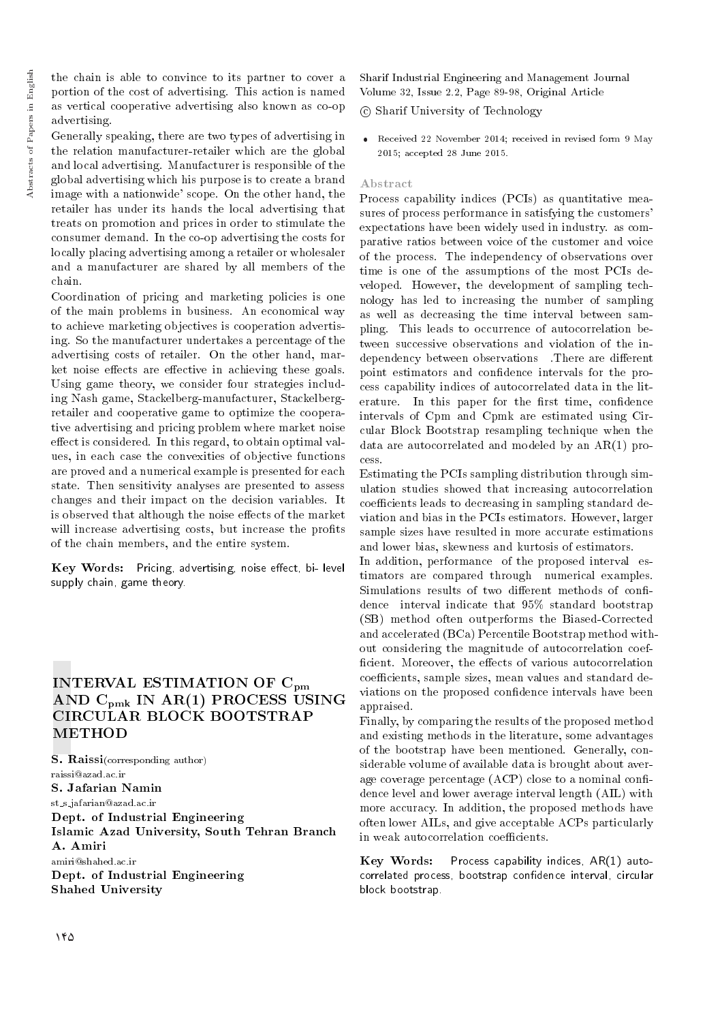the chain is able to convince to its partner to cover a portion of the cost of advertising. This action is named as vertical cooperative advertising also known as co-op advertising.

Generally speaking, there are two types of advertising in the relation manufacturer-retailer which are the global and local advertising. Manufacturer is responsible of the global advertising which his purpose is to create a brand image with a nationwide' scope. On the other hand, the retailer has under its hands the local advertising that treats on promotion and prices in order to stimulate the consumer demand. In the co-op advertising the costs for locally placing advertising among a retailer or wholesaler and a manufacturer are shared by all members of the chain.

Coordination of pricing and marketing policies is one of the main problems in business. An economical way to achieve marketing objectives is cooperation advertising. So the manufacturer undertakes a percentage of the advertising costs of retailer. On the other hand, market noise effects are effective in achieving these goals. Using game theory, we consider four strategies including Nash game, Stackelberg-manufacturer, Stackelbergretailer and cooperative game to optimize the cooperative advertising and pricing problem where market noise effect is considered. In this regard, to obtain optimal values, in each case the convexities of objective functions are proved and a numerical example is presented for each state. Then sensitivity analyses are presented to assess changes and their impact on the decision variables. It is observed that although the noise effects of the market will increase advertising costs, but increase the profits of the chain members, and the entire system.

Key Words: Pricing, advertising, noise effect, bi- level supply chain, game theory.

# INTERVAL ESTIMATION OF C<sub>pm</sub> AND Cpmk IN AR(1) PROCESS USING CIRCULAR BLOCK BOOTSTRAP **METHOD**

S. Raissi(corresponding author) raissi@azad.ac.ir S. Jafarian Namin st s jafarian@azad.ac.ir Dept. of Industrial Engineering Islamic Azad University, South Tehran Branch A. Amiri amiri@shahed.ac.ir Dept. of Industrial Engineering Shahed University

Sharif Industrial Engineering and Management Journal Volume 32, Issue 2.2, Page 89-98, Original Article

c Sharif University of Technology

 Received 22 November 2014; received in revised form 9 May 2015; accepted 28 June 2015.

## Abstract

Process capability indices (PCIs) as quantitative measures of process performance in satisfying the customers' expectations have been widely used in industry. as comparative ratios between voice of the customer and voice of the process. The independency of observations over time is one of the assumptions of the most PCIs developed. However, the development of sampling technology has led to increasing the number of sampling as well as decreasing the time interval between sampling. This leads to occurrence of autocorrelation between successive observations and violation of the independency between observations There are different point estimators and condence intervals for the process capability indices of autocorrelated data in the literature. In this paper for the first time, confidence intervals of Cpm and Cpmk are estimated using Circular Block Bootstrap resampling technique when the data are autocorrelated and modeled by an AR(1) process.

Estimating the PCIs sampling distribution through simulation studies showed that increasing autocorrelation coefficients leads to decreasing in sampling standard deviation and bias in the PCIs estimators. However, larger sample sizes have resulted in more accurate estimations and lower bias, skewness and kurtosis of estimators.

In addition, performance of the proposed interval estimators are compared through numerical examples. Simulations results of two different methods of confidence interval indicate that 95% standard bootstrap (SB) method often outperforms the Biased-Corrected and accelerated (BCa) Percentile Bootstrap method without considering the magnitude of autocorrelation coef ficient. Moreover, the effects of various autocorrelation coefficients, sample sizes, mean values and standard deviations on the proposed condence intervals have been appraised.

Finally, by comparing the results of the proposed method and existing methods in the literature, some advantages of the bootstrap have been mentioned. Generally, considerable volume of available data is brought about average coverage percentage  $(ACP)$  close to a nominal confidence level and lower average interval length (AIL) with more accuracy. In addition, the proposed methods have often lower AILs, and give acceptable ACPs particularly in weak autocorrelation coefficients.

Key Words: Process capability indices,  $AR(1)$  autocorrelated process, bootstrap confidence interval, circular block bootstrap.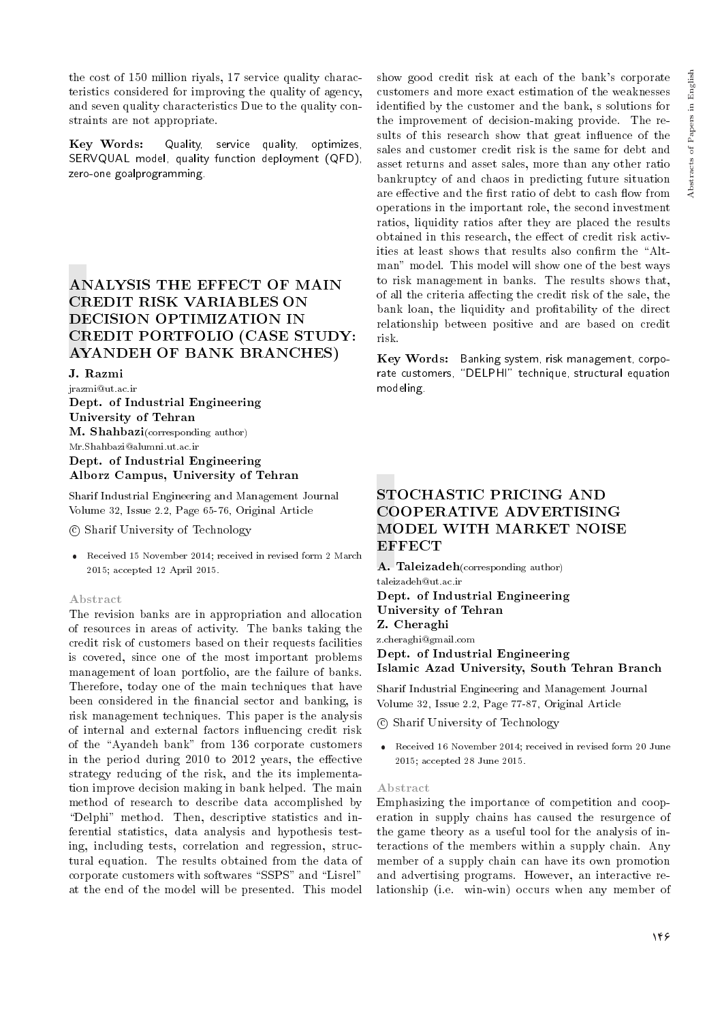the cost of 150 million riyals, 17 service quality characteristics considered for improving the quality of agency, and seven quality characteristics Due to the quality constraints are not appropriate.

Key Words: Quality, service quality, optimizes, SERVQUAL model, quality function deployment (QFD), zero-one goalprogramming.

# ANALYSIS THE EFFECT OF MAIN CREDIT RISK VARIABLES ON DECISION OPTIMIZATION IN CREDIT PORTFOLIO (CASE STUDY: AYANDEH OF BANK BRANCHES)

## J. Razmi

jrazmi@ut.ac.ir Dept. of Industrial Engineering University of Tehran **M.** Shahbazi(corresponding author) Mr.Shahbazi@alumni.ut.ac.ir Dept. of Industrial Engineering Alborz Campus, University of Tehran

Sharif Industrial Engineering and Management Journal Volume 32, Issue 2.2, Page 65-76, Original Article

c Sharif University of Technology

 Received 15 November 2014; received in revised form 2 March 2015; accepted 12 April 2015.

## Abstract

The revision banks are in appropriation and allocation of resources in areas of activity. The banks taking the credit risk of customers based on their requests facilities is covered, since one of the most important problems management of loan portfolio, are the failure of banks. Therefore, today one of the main techniques that have been considered in the financial sector and banking, is risk management techniques. This paper is the analysis of internal and external factors influencing credit risk of the "Ayandeh bank" from 136 corporate customers in the period during  $2010$  to  $2012$  years, the effective strategy reducing of the risk, and the its implementation improve decision making in bank helped. The main method of research to describe data accomplished by "Delphi" method. Then, descriptive statistics and inferential statistics, data analysis and hypothesis testing, including tests, correlation and regression, structural equation. The results obtained from the data of corporate customers with softwares "SSPS" and "Lisrel" at the end of the model will be presented. This model

show good credit risk at each of the bank's corporate customers and more exact estimation of the weaknesses identied by the customer and the bank, s solutions for the improvement of decision-making provide. The results of this research show that great influence of the sales and customer credit risk is the same for debt and asset returns and asset sales, more than any other ratio bankruptcy of and chaos in predicting future situation are effective and the first ratio of debt to cash flow from operations in the important role, the second investment ratios, liquidity ratios after they are placed the results obtained in this research, the effect of credit risk activities at least shows that results also confirm the "Altman" model. This model will show one of the best ways to risk management in banks. The results shows that, of all the criteria affecting the credit risk of the sale, the bank loan, the liquidity and profitability of the direct relationship between positive and are based on credit risk.

Key Words: Banking system, risk management, corporate customers, "DELPHI" technique, structural equation modeling.

# STOCHASTIC PRICING AND COOPERATIVE ADVERTISING MODEL WITH MARKET NOISE **EFFECT**

A. Taleizadeh(corresponding author)

taleizadeh@ut.ac.ir

Dept. of Industrial Engineering University of Tehran Z. Cheraghi z.cheraghi@gmail.com Dept. of Industrial Engineering

Islamic Azad University, South Tehran Branch

Sharif Industrial Engineering and Management Journal Volume 32, Issue 2.2, Page 77-87, Original Article

c Sharif University of Technology

 Received 16 November 2014; received in revised form 20 June 2015; accepted 28 June 2015.

## Abstract

Emphasizing the importance of competition and cooperation in supply chains has caused the resurgence of the game theory as a useful tool for the analysis of interactions of the members within a supply chain. Any member of a supply chain can have its own promotion and advertising programs. However, an interactive relationship (i.e. win-win) occurs when any member of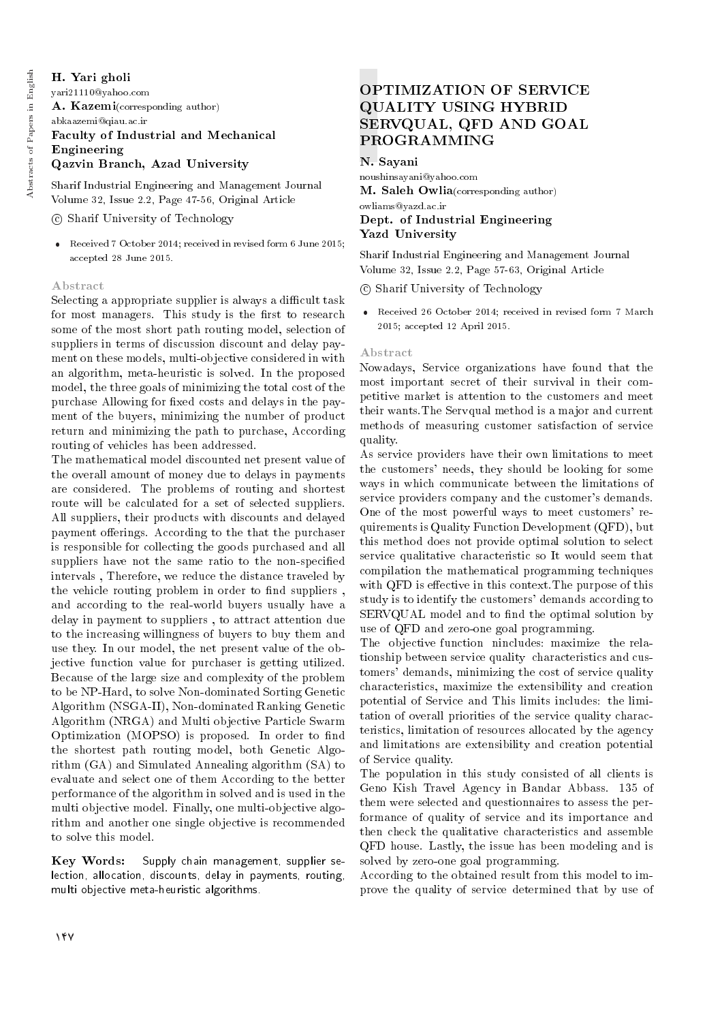# H. Yari gholi

yari21110@yahoo.com A. Kazemi(corresponding author) abkaazemi@qiau.ac.ir Faculty of Industrial and Mechanical Engineering Qazvin Branch, Azad University

Sharif Industrial Engineering and Management Journal

Volume 32, Issue 2.2, Page 47-56, Original Article

## c Sharif University of Technology

 Received 7 October 2014; received in revised form 6 June 2015; accepted 28 June 2015.

## Abstract

Selecting a appropriate supplier is always a difficult task for most managers. This study is the first to research some of the most short path routing model, selection of suppliers in terms of discussion discount and delay payment on these models, multi-objective considered in with an algorithm, meta-heuristic is solved. In the proposed model, the three goals of minimizing the total cost of the purchase Allowing for fixed costs and delays in the payment of the buyers, minimizing the number of product return and minimizing the path to purchase, According routing of vehicles has been addressed.

The mathematical model discounted net present value of the overall amount of money due to delays in payments are considered. The problems of routing and shortest route will be calculated for a set of selected suppliers. All suppliers, their products with discounts and delayed payment offerings. According to the that the purchaser is responsible for collecting the goods purchased and all suppliers have not the same ratio to the non-specied intervals , Therefore, we reduce the distance traveled by the vehicle routing problem in order to find suppliers , and according to the real-world buyers usually have a delay in payment to suppliers , to attract attention due to the increasing willingness of buyers to buy them and use they. In our model, the net present value of the objective function value for purchaser is getting utilized. Because of the large size and complexity of the problem to be NP-Hard, to solve Non-dominated Sorting Genetic Algorithm (NSGA-II), Non-dominated Ranking Genetic Algorithm (NRGA) and Multi objective Particle Swarm Optimization (MOPSO) is proposed. In order to find the shortest path routing model, both Genetic Algorithm (GA) and Simulated Annealing algorithm (SA) to evaluate and select one of them According to the better performance of the algorithm in solved and is used in the multi objective model. Finally, one multi-objective algorithm and another one single objective is recommended to solve this model.

Key Words: Supply chain management, supplier selection, allocation, discounts, delay in payments, routing, multi objective meta-heuristic algorithms.

# OPTIMIZATION OF SERVICE QUALITY USING HYBRID SERVQUAL, QFD AND GOAL PROGRAMMING

N. Sayani

noushinsayani@yahoo.com M. Saleh Owlia(corresponding author)

## owliams@yazd.ac.ir Dept. of Industrial Engineering Yazd University

Sharif Industrial Engineering and Management Journal Volume 32, Issue 2.2, Page 57-63, Original Article

c Sharif University of Technology

 Received 26 October 2014; received in revised form 7 March 2015; accepted 12 April 2015.

## Abstract

Nowadays, Service organizations have found that the most important secret of their survival in their competitive market is attention to the customers and meet their wants.The Servqual method is a major and current methods of measuring customer satisfaction of service quality.

As service providers have their own limitations to meet the customers' needs, they should be looking for some ways in which communicate between the limitations of service providers company and the customer's demands. One of the most powerful ways to meet customers' requirements is Quality Function Development (QFD), but this method does not provide optimal solution to select service qualitative characteristic so It would seem that compilation the mathematical programming techniques with QFD is effective in this context. The purpose of this study is to identify the customers' demands according to SERVQUAL model and to find the optimal solution by use of QFD and zero-one goal programming.

The objective function nincludes: maximize the relationship between service quality characteristics and customers' demands, minimizing the cost of service quality characteristics, maximize the extensibility and creation potential of Service and This limits includes: the limitation of overall priorities of the service quality characteristics, limitation of resources allocated by the agency and limitations are extensibility and creation potential of Service quality.

The population in this study consisted of all clients is Geno Kish Travel Agency in Bandar Abbass. 135 of them were selected and questionnaires to assess the performance of quality of service and its importance and then check the qualitative characteristics and assemble QFD house. Lastly, the issue has been modeling and is solved by zero-one goal programming.

According to the obtained result from this model to improve the quality of service determined that by use of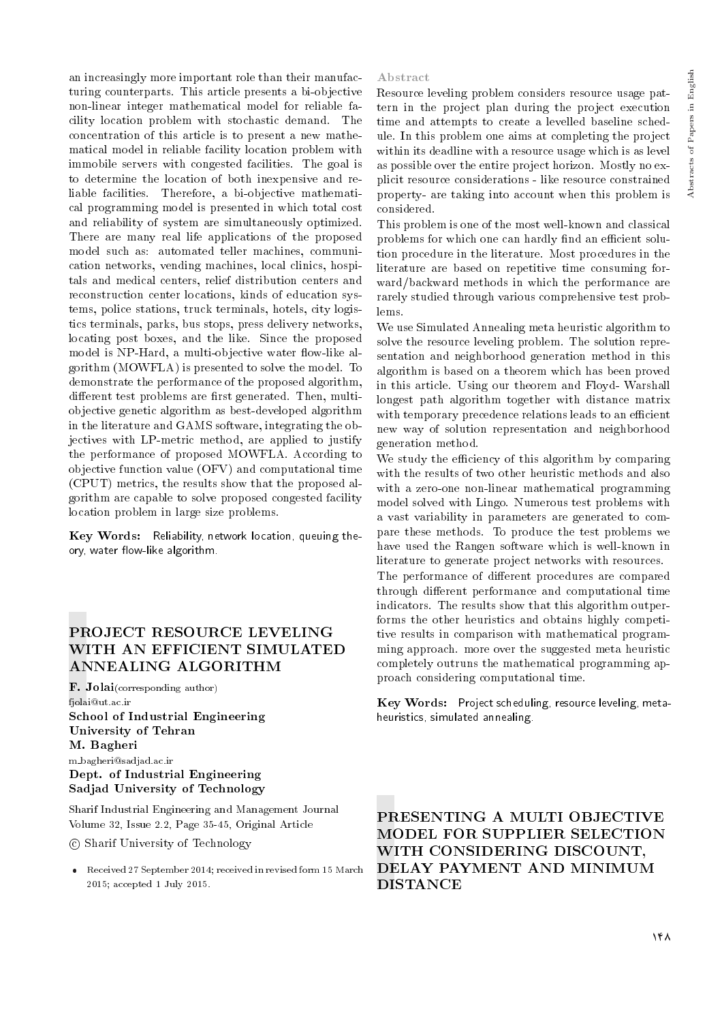an increasingly more important role than their manufacturing counterparts. This article presents a bi-objective non-linear integer mathematical model for reliable facility location problem with stochastic demand. The concentration of this article is to present a new mathematical model in reliable facility location problem with immobile servers with congested facilities. The goal is to determine the location of both inexpensive and reliable facilities. Therefore, a bi-objective mathematical programming model is presented in which total cost and reliability of system are simultaneously optimized. There are many real life applications of the proposed model such as: automated teller machines, communication networks, vending machines, local clinics, hospitals and medical centers, relief distribution centers and reconstruction center locations, kinds of education systems, police stations, truck terminals, hotels, city logistics terminals, parks, bus stops, press delivery networks, locating post boxes, and the like. Since the proposed model is NP-Hard, a multi-objective water flow-like algorithm (MOWFLA) is presented to solve the model. To demonstrate the performance of the proposed algorithm, different test problems are first generated. Then, multiobjective genetic algorithm as best-developed algorithm in the literature and GAMS software, integrating the objectives with LP-metric method, are applied to justify the performance of proposed MOWFLA. According to objective function value (OFV) and computational time (CPUT) metrics, the results show that the proposed algorithm are capable to solve proposed congested facility location problem in large size problems.

Key Words: Reliability, network location, queuing theory, water flow-like algorithm.

# PROJECT RESOURCE LEVELING WITH AN EFFICIENT SIMULATED ANNEALING ALGORITHM

 ${\bf F.~Jolai}$ (corresponding author) fjolai@ut.ac.ir School of Industrial Engineering University of Tehran M. Bagheri m bagheri@sadjad.ac.ir Dept. of Industrial Engineering Sadjad University of Technology

Sharif Industrial Engineering and Management Journal Volume 32, Issue 2.2, Page 35-45, Original Article

c Sharif University of Technology

 Received 27 September 2014; received in revised form 15 March 2015; accepted 1 July 2015.

## Abstract

Resource leveling problem considers resource usage pattern in the project plan during the project execution time and attempts to create a levelled baseline schedule. In this problem one aims at completing the project within its deadline with a resource usage which is as level as possible over the entire project horizon. Mostly no explicit resource considerations - like resource constrained property- are taking into account when this problem is considered.

This problem is one of the most well-known and classical problems for which one can hardly find an efficient solution procedure in the literature. Most procedures in the literature are based on repetitive time consuming forward/backward methods in which the performance are rarely studied through various comprehensive test problems.

We use Simulated Annealing meta heuristic algorithm to solve the resource leveling problem. The solution representation and neighborhood generation method in this algorithm is based on a theorem which has been proved in this article. Using our theorem and Floyd- Warshall longest path algorithm together with distance matrix with temporary precedence relations leads to an efficient new way of solution representation and neighborhood generation method.

We study the efficiency of this algorithm by comparing with the results of two other heuristic methods and also with a zero-one non-linear mathematical programming model solved with Lingo. Numerous test problems with a vast variability in parameters are generated to compare these methods. To produce the test problems we have used the Rangen software which is well-known in literature to generate project networks with resources.

The performance of different procedures are compared through different performance and computational time indicators. The results show that this algorithm outperforms the other heuristics and obtains highly competitive results in comparison with mathematical programming approach. more over the suggested meta heuristic completely outruns the mathematical programming approach considering computational time.

Key Words: Project scheduling, resource leveling, metaheuristics, simulated annealing.

PRESENTING A MULTI OBJECTIVE MODEL FOR SUPPLIER SELECTION WITH CONSIDERING DISCOUNT, DELAY PAYMENT AND MINIMUM DISTANCE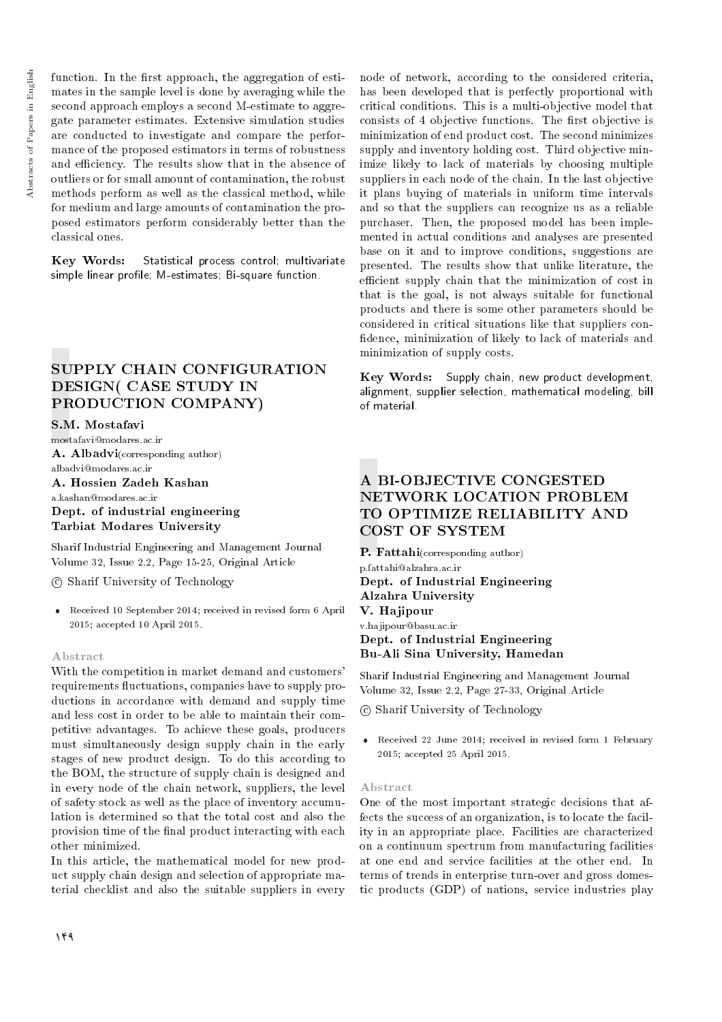function. In the first approach, the aggregation of estimates in the sample level is done by averaging while the second approach employs a second M-estimate to aggregate parameter estimates. Extensive simulation studies are conducted to investigate and compare the performance of the proposed estimators in terms of robustness and efficiency. The results show that in the absence of outliers or for small amount of contamination, the robust methods perform as well as the classical method, while for medium and large amounts of contamination the proposed estimators perform considerably better than the classical ones.

Key Words: Statistical process control; multivariate simple linear profile; M-estimates; Bi-square function.

# SUPPLY CHAIN CONFIGURATION DESIGN( CASE STUDY IN PRODUCTION COMPANY)

## S.M. Mostafavi

mostafavi@modares.ac.ir A. Albadvi(corresponding author) albadvi@modares.ac.ir A. Hossien Zadeh Kashan

a.kashan@modares.ac.ir Dept. of industrial engineering Tarbiat Modares University

Sharif Industrial Engineering and Management Journal Volume 32, Issue 2.2, Page 15-25, Original Article

c Sharif University of Technology

 Received 10 September 2014; received in revised form 6 April 2015; accepted 10 April 2015.

## Abstract

With the competition in market demand and customers' requirements fluctuations, companies have to supply productions in accordance with demand and supply time and less cost in order to be able to maintain their competitive advantages. To achieve these goals, producers must simultaneously design supply chain in the early stages of new product design. To do this according to the BOM, the structure of supply chain is designed and in every node of the chain network, suppliers, the level of safety stock as well as the place of inventory accumulation is determined so that the total cost and also the provision time of the final product interacting with each other minimized.

In this article, the mathematical model for new product supply chain design and selection of appropriate material checklist and also the suitable suppliers in every

node of network, according to the considered criteria, has been developed that is perfectly proportional with critical conditions. This is a multi-objective model that consists of 4 objective functions. The first objective is minimization of end product cost. The second minimizes supply and inventory holding cost. Third objective minimize likely to lack of materials by choosing multiple suppliers in each node of the chain. In the last objective it plans buying of materials in uniform time intervals and so that the suppliers can recognize us as a reliable purchaser. Then, the proposed model has been implemented in actual conditions and analyses are presented base on it and to improve conditions, suggestions are presented. The results show that unlike literature, the efficient supply chain that the minimization of cost in that is the goal, is not always suitable for functional products and there is some other parameters should be considered in critical situations like that suppliers con dence, minimization of likely to lack of materials and minimization of supply costs.

Key Words: Supply chain, new product development, alignment, supplier selection, mathematical modeling, bill of material.

# A BI-OBJECTIVE CONGESTED NETWORK LOCATION PROBLEM TO OPTIMIZE RELIABILITY AND COST OF SYSTEM

P. Fattahi(corresponding author) p.fattahi@alzahra.ac.ir Dept. of Industrial Engineering Alzahra University V. Hajipour v.hajipour@basu.ac.ir Dept. of Industrial Engineering Bu-Ali Sina University, Hamedan

Sharif Industrial Engineering and Management Journal Volume 32, Issue 2.2, Page 27-33, Original Article

c Sharif University of Technology

 Received 22 June 2014; received in revised form 1 February 2015; accepted 25 April 2015.

#### Abstract

One of the most important strategic decisions that affects the success of an organization, is to locate the facility in an appropriate place. Facilities are characterized on a continuum spectrum from manufacturing facilities at one end and service facilities at the other end. In terms of trends in enterprise turn-over and gross domestic products (GDP) of nations, service industries play